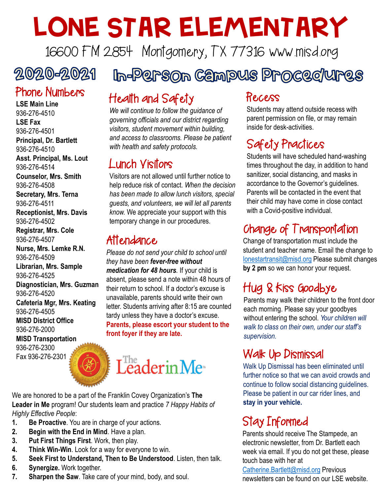# LONE STAR ELEMENTARY

16600 FM 2854 Montgomery, TX 77316 www.misd.org

# 2020-2021

## Phone Numbers

**LSE Main Line** 936-276-4510 **LSE Fax** 936-276-4501 **Principal, Dr. Bartlett** 936-276-4510

**Asst. Principal, Ms. Lout** 936-276-4514

**Counselor, Mrs. Smith** 936-276-4508

**Secretary, Mrs. Terna** 936-276-4511

**Receptionist, Mrs. Davis** 936-276-4502

**Registrar, Mrs. Cole** 936-276-4507

**Nurse, Mrs. Lemke R.N.** 936-276-4509 **Librarian, Mrs. Sample** 936-276-4525 **Diagnostician, Mrs. Guzman** 936-276-4520 **Cafeteria Mgr, Mrs. Keating** 936-276-4505 **MISD District Office** 936-276-2000

**MISD Transportation** 936-276-2300 Fax 936-276-2301

# In-Person Campus Procec/ures Health and Safety

*We will continue to follow the guidance of governing officials and our district regarding visitors, student movement within building, and access to classrooms. Please be patient with health and safety protocols.*

#### Lunch Visitors

Visitors are not allowed until further notice to help reduce risk of contact. *When the decision has been made to allow lunch visitors, special guests, and volunteers, we will let all parents know.* We appreciate your support with this temporary change in our procedures.

#### Attendance

*Please do not send your child to school until they have been fever-free without medication for 48 hours.* If your child is absent, please send a note within 48 hours of their return to school. If a doctor's excuse is unavailable, parents should write their own letter. Students arriving after 8:15 are counted tardy unless they have a doctor's excuse. **Parents, please escort your student to the front foyer if they are late.**



We are honored to be a part of the Franklin Covey Organization's **The Leader in Me** program! Our students learn and practice *7 Happy Habits of Highly Effective People*:

- **1. Be Proactive**. You are in charge of your actions.
- **2. Begin with the End in Mind**. Have a plan.
- **3. Put First Things First**. Work, then play.
- **4. Think Win-Win**. Look for a way for everyone to win.
- **5. Seek First to Understand, Then to Be Understood**. Listen, then talk.
- **6. Synergize.** Work together.
- **7. Sharpen the Saw**. Take care of your mind, body, and soul.

#### Recess

Students may attend outside recess with parent permission on file, or may remain inside for desk-activities.

# Safety Practices

Students will have scheduled hand-washing times throughout the day, in addition to hand sanitizer, social distancing, and masks in accordance to the Governor's guidelines. Parents will be contacted in the event that their child may have come in close contact with a Covid-positive individual.

# Change of Transportation

Change of transportation must include the student and teacher name. Email the change to [lonestartransit@misd.org](mailto:lonestartransit@misd.org) Please submit changes **by 2 pm** so we can honor your request.

# Hug & Kiss Goodbye

Parents may walk their children to the front door each morning. Please say your goodbyes without entering the school. *Your children will walk to class on their own, under our staff's supervision.*

## Walk Up Dismissal

Walk Up Dismissal has been eliminated until further notice so that we can avoid crowds and continue to follow social distancing guidelines. Please be patient in our car rider lines, and **stay in your vehicle.**

# Stay Informed

Parents should receive The Stampede, an electronic newsletter, from Dr. Bartlett each week via email. If you do not get these, please touch base with her at

[Catherine.Bartlett@misd.org](mailto:Catherine.Bartlett@misd.org) Previous newsletters can be found on our LSE website.